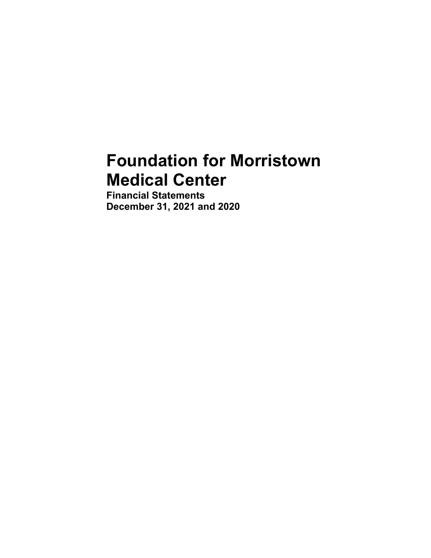# **Foundation for Morristown Medical Center**

**Financial Statements December 31, 2021 and 2020**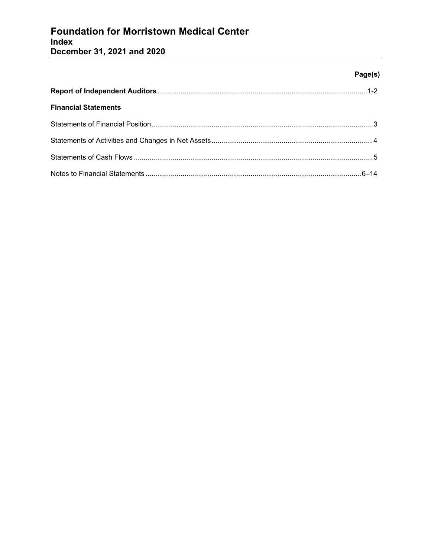# **Foundation for Morristown Medical Center Index December 31, 2021 and 2020**

### **Page(s)**

| <b>Financial Statements</b> |  |
|-----------------------------|--|
|                             |  |
|                             |  |
|                             |  |
|                             |  |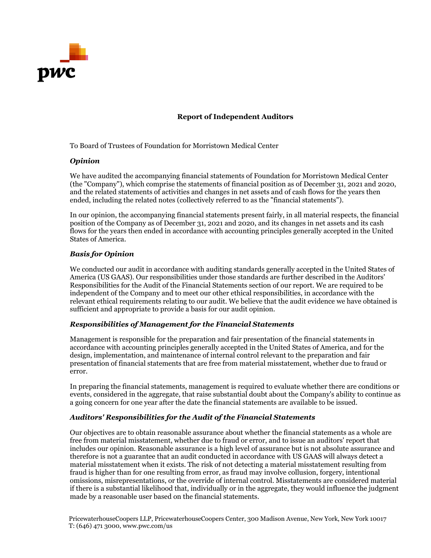

#### **Report of Independent Auditors**

To Board of Trustees of Foundation for Morristown Medical Center

#### *Opinion*

We have audited the accompanying financial statements of Foundation for Morristown Medical Center (the "Company"), which comprise the statements of financial position as of December 31, 2021 and 2020, and the related statements of activities and changes in net assets and of cash flows for the years then ended, including the related notes (collectively referred to as the "financial statements").

In our opinion, the accompanying financial statements present fairly, in all material respects, the financial position of the Company as of December 31, 2021 and 2020, and its changes in net assets and its cash flows for the years then ended in accordance with accounting principles generally accepted in the United States of America.

#### *Basis for Opinion*

We conducted our audit in accordance with auditing standards generally accepted in the United States of America (US GAAS). Our responsibilities under those standards are further described in the Auditors' Responsibilities for the Audit of the Financial Statements section of our report. We are required to be independent of the Company and to meet our other ethical responsibilities, in accordance with the relevant ethical requirements relating to our audit. We believe that the audit evidence we have obtained is sufficient and appropriate to provide a basis for our audit opinion.

#### *Responsibilities of Management for the Financial Statements*

Management is responsible for the preparation and fair presentation of the financial statements in accordance with accounting principles generally accepted in the United States of America, and for the design, implementation, and maintenance of internal control relevant to the preparation and fair presentation of financial statements that are free from material misstatement, whether due to fraud or error.

In preparing the financial statements, management is required to evaluate whether there are conditions or events, considered in the aggregate, that raise substantial doubt about the Company's ability to continue as a going concern for one year after the date the financial statements are available to be issued.

#### *Auditors' Responsibilities for the Audit of the Financial Statements*

Our objectives are to obtain reasonable assurance about whether the financial statements as a whole are free from material misstatement, whether due to fraud or error, and to issue an auditors' report that includes our opinion. Reasonable assurance is a high level of assurance but is not absolute assurance and therefore is not a guarantee that an audit conducted in accordance with US GAAS will always detect a material misstatement when it exists. The risk of not detecting a material misstatement resulting from fraud is higher than for one resulting from error, as fraud may involve collusion, forgery, intentional omissions, misrepresentations, or the override of internal control. Misstatements are considered material if there is a substantial likelihood that, individually or in the aggregate, they would influence the judgment made by a reasonable user based on the financial statements.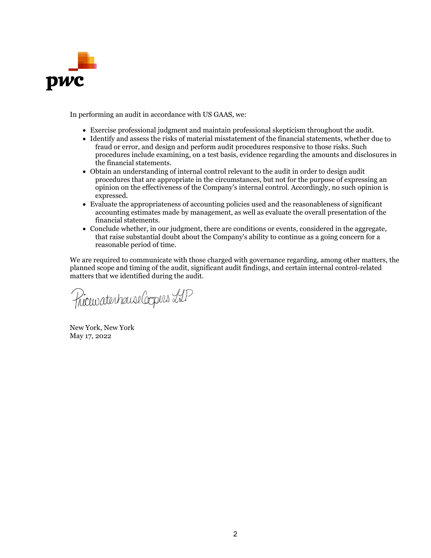

In performing an audit in accordance with US GAAS, we:

- Exercise professional judgment and maintain professional skepticism throughout the audit.
- Identify and assess the risks of material misstatement of the financial statements, whether due to fraud or error, and design and perform audit procedures responsive to those risks. Such procedures include examining, on a test basis, evidence regarding the amounts and disclosures in the financial statements.
- Obtain an understanding of internal control relevant to the audit in order to design audit procedures that are appropriate in the circumstances, but not for the purpose of expressing an opinion on the effectiveness of the Company's internal control. Accordingly, no such opinion is expressed.
- Evaluate the appropriateness of accounting policies used and the reasonableness of significant accounting estimates made by management, as well as evaluate the overall presentation of the financial statements.
- Conclude whether, in our judgment, there are conditions or events, considered in the aggregate, that raise substantial doubt about the Company's ability to continue as a going concern for a reasonable period of time.

We are required to communicate with those charged with governance regarding, among other matters, the planned scope and timing of the audit, significant audit findings, and certain internal control-related matters that we identified during the audit.

Pricuvaterhouse Coopers LLP

New York, New York May 17, 2022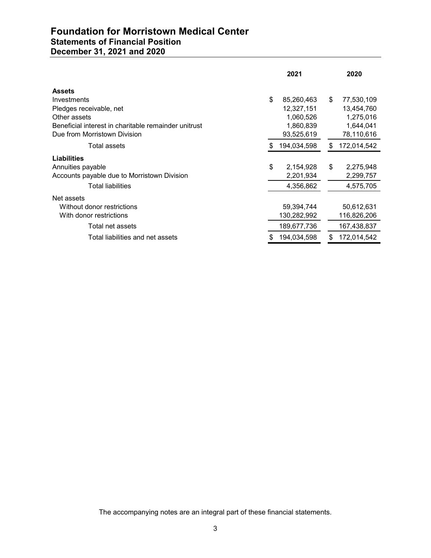# **Foundation for Morristown Medical Center Statements of Financial Position December 31, 2021 and 2020**

|                                                      | 2021        | 2020              |
|------------------------------------------------------|-------------|-------------------|
| <b>Assets</b>                                        |             |                   |
| \$<br>Investments                                    | 85,260,463  | \$<br>77,530,109  |
| Pledges receivable, net                              | 12,327,151  | 13,454,760        |
| Other assets                                         | 1,060,526   | 1,275,016         |
| Beneficial interest in charitable remainder unitrust | 1,860,839   | 1,644,041         |
| Due from Morristown Division                         | 93,525,619  | 78,110,616        |
| Total assets<br>\$.                                  | 194,034,598 | 172,014,542<br>\$ |
| <b>Liabilities</b>                                   |             |                   |
| \$<br>Annuities payable                              | 2,154,928   | \$<br>2,275,948   |
| Accounts payable due to Morristown Division          | 2,201,934   | 2,299,757         |
| <b>Total liabilities</b>                             | 4,356,862   | 4,575,705         |
| Net assets                                           |             |                   |
| Without donor restrictions                           | 59,394,744  | 50,612,631        |
| With donor restrictions                              | 130,282,992 | 116,826,206       |
| Total net assets                                     | 189,677,736 | 167,438,837       |
| Total liabilities and net assets                     | 194,034,598 | 172,014,542<br>S  |

The accompanying notes are an integral part of these financial statements.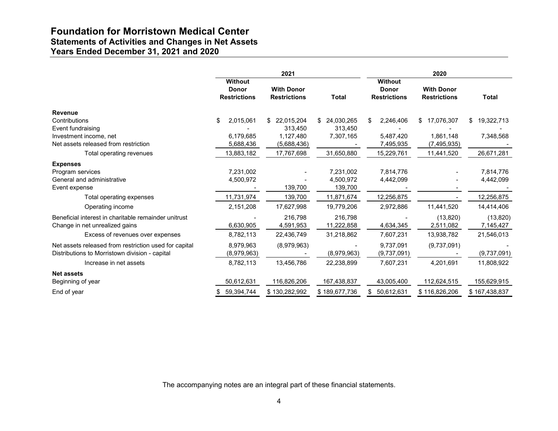## **Foundation for Morristown Medical Center Statements of Activities and Changes in Net Assets Years Ended December 31, 2021 and 2020**

|                                                       |                                                | 2021                                     |                  | 2020                                           |                                          |                   |
|-------------------------------------------------------|------------------------------------------------|------------------------------------------|------------------|------------------------------------------------|------------------------------------------|-------------------|
|                                                       | Without<br><b>Donor</b><br><b>Restrictions</b> | <b>With Donor</b><br><b>Restrictions</b> | <b>Total</b>     | Without<br><b>Donor</b><br><b>Restrictions</b> | <b>With Donor</b><br><b>Restrictions</b> | <b>Total</b>      |
| Revenue                                               |                                                |                                          |                  |                                                |                                          |                   |
| Contributions                                         | 2,015,061<br>\$                                | 22,015,204<br>\$                         | 24,030,265<br>\$ | 2,246,406<br>\$                                | \$17,076,307                             | 19,322,713<br>\$. |
| Event fundraising                                     |                                                | 313,450                                  | 313,450          |                                                |                                          |                   |
| Investment income, net                                | 6,179,685                                      | 1,127,480                                | 7,307,165        | 5,487,420                                      | 1,861,148                                | 7,348,568         |
| Net assets released from restriction                  | 5,688,436                                      | (5,688,436)                              |                  | 7,495,935                                      | (7,495,935)                              |                   |
| Total operating revenues                              | 13,883,182                                     | 17,767,698                               | 31,650,880       | 15,229,761                                     | 11,441,520                               | 26,671,281        |
| <b>Expenses</b>                                       |                                                |                                          |                  |                                                |                                          |                   |
| Program services                                      | 7,231,002                                      |                                          | 7,231,002        | 7,814,776                                      |                                          | 7,814,776         |
| General and administrative                            | 4,500,972                                      |                                          | 4,500,972        | 4,442,099                                      |                                          | 4,442,099         |
| Event expense                                         |                                                | 139,700                                  | 139,700          |                                                |                                          |                   |
| Total operating expenses                              | 11,731,974                                     | 139,700                                  | 11,871,674       | 12,256,875                                     |                                          | 12,256,875        |
| Operating income                                      | 2,151,208                                      | 17,627,998                               | 19,779,206       | 2,972,886                                      | 11,441,520                               | 14,414,406        |
| Beneficial interest in charitable remainder unitrust  |                                                | 216.798                                  | 216.798          |                                                | (13,820)                                 | (13,820)          |
| Change in net unrealized gains                        | 6,630,905                                      | 4,591,953                                | 11,222,858       | 4,634,345                                      | 2,511,082                                | 7,145,427         |
| Excess of revenues over expenses                      | 8,782,113                                      | 22,436,749                               | 31,218,862       | 7,607,231                                      | 13,938,782                               | 21,546,013        |
| Net assets released from restriction used for capital | 8,979,963                                      | (8,979,963)                              |                  | 9,737,091                                      | (9,737,091)                              |                   |
| Distributions to Morristown division - capital        | (8,979,963)                                    |                                          | (8,979,963)      | (9,737,091)                                    |                                          | (9,737,091)       |
| Increase in net assets                                | 8,782,113                                      | 13,456,786                               | 22,238,899       | 7,607,231                                      | 4,201,691                                | 11,808,922        |
| <b>Net assets</b>                                     |                                                |                                          |                  |                                                |                                          |                   |
| Beginning of year                                     | 50,612,631                                     | 116,826,206                              | 167,438,837      | 43,005,400                                     | 112,624,515                              | 155,629,915       |
| End of year                                           | 59,394,744<br>\$                               | \$130,282,992                            | \$189,677,736    | \$50,612,631                                   | \$116,826,206                            | \$167,438,837     |

The accompanying notes are an integral part of these financial statements.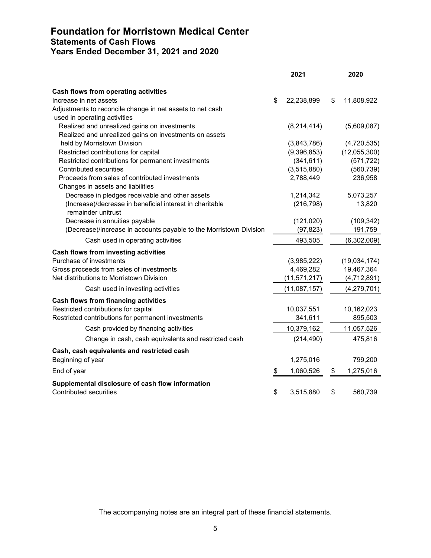# **Foundation for Morristown Medical Center Statements of Cash Flows Years Ended December 31, 2021 and 2020**

|                                                                    | 2021             | 2020             |
|--------------------------------------------------------------------|------------------|------------------|
| Cash flows from operating activities                               |                  |                  |
| Increase in net assets                                             | \$<br>22,238,899 | \$<br>11,808,922 |
| Adjustments to reconcile change in net assets to net cash          |                  |                  |
| used in operating activities                                       |                  |                  |
| Realized and unrealized gains on investments                       | (8,214,414)      | (5,609,087)      |
| Realized and unrealized gains on investments on assets             |                  |                  |
| held by Morristown Division                                        | (3,843,786)      | (4,720,535)      |
| Restricted contributions for capital                               | (9,396,853)      | (12,055,300)     |
| Restricted contributions for permanent investments                 | (341, 611)       | (571, 722)       |
| <b>Contributed securities</b>                                      | (3,515,880)      | (560, 739)       |
| Proceeds from sales of contributed investments                     | 2,788,449        | 236,958          |
| Changes in assets and liabilities                                  |                  |                  |
| Decrease in pledges receivable and other assets                    | 1,214,342        | 5,073,257        |
| (Increase)/decrease in beneficial interest in charitable           | (216, 798)       | 13,820           |
| remainder unitrust                                                 |                  |                  |
| Decrease in annuities payable                                      | (121, 020)       | (109, 342)       |
| (Decrease)/increase in accounts payable to the Morristown Division | (97, 823)        | 191,759          |
| Cash used in operating activities                                  | 493,505          | (6,302,009)      |
| Cash flows from investing activities                               |                  |                  |
| Purchase of investments                                            | (3,985,222)      | (19,034,174)     |
| Gross proceeds from sales of investments                           | 4,469,282        | 19,467,364       |
| Net distributions to Morristown Division                           | (11, 571, 217)   | (4,712,891)      |
| Cash used in investing activities                                  | (11,087,157)     | (4, 279, 701)    |
| <b>Cash flows from financing activities</b>                        |                  |                  |
| Restricted contributions for capital                               | 10,037,551       | 10,162,023       |
| Restricted contributions for permanent investments                 | 341,611          | 895,503          |
| Cash provided by financing activities                              | 10,379,162       | 11,057,526       |
| Change in cash, cash equivalents and restricted cash               | (214, 490)       | 475,816          |
| Cash, cash equivalents and restricted cash                         |                  |                  |
| Beginning of year                                                  | 1,275,016        | 799,200          |
| End of year                                                        | \$<br>1,060,526  | \$<br>1,275,016  |
| Supplemental disclosure of cash flow information                   |                  |                  |
| Contributed securities                                             | \$<br>3,515,880  | \$<br>560,739    |

The accompanying notes are an integral part of these financial statements.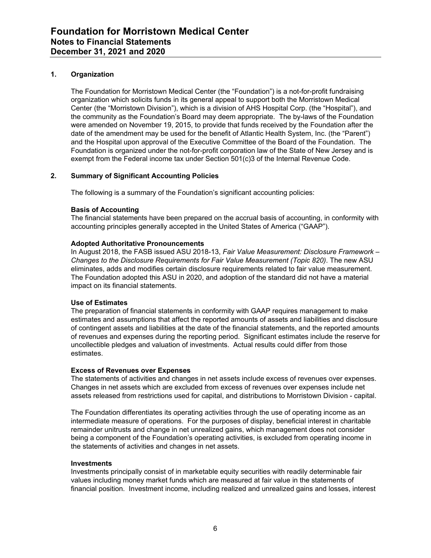#### **1. Organization**

The Foundation for Morristown Medical Center (the "Foundation") is a not-for-profit fundraising organization which solicits funds in its general appeal to support both the Morristown Medical Center (the "Morristown Division"), which is a division of AHS Hospital Corp. (the "Hospital"), and the community as the Foundation's Board may deem appropriate. The by-laws of the Foundation were amended on November 19, 2015, to provide that funds received by the Foundation after the date of the amendment may be used for the benefit of Atlantic Health System, Inc. (the "Parent") and the Hospital upon approval of the Executive Committee of the Board of the Foundation. The Foundation is organized under the not-for-profit corporation law of the State of New Jersey and is exempt from the Federal income tax under Section 501(c)3 of the Internal Revenue Code.

#### **2. Summary of Significant Accounting Policies**

The following is a summary of the Foundation's significant accounting policies:

#### **Basis of Accounting**

The financial statements have been prepared on the accrual basis of accounting, in conformity with accounting principles generally accepted in the United States of America ("GAAP").

#### **Adopted Authoritative Pronouncements**

In August 2018, the FASB issued ASU 2018-13, *Fair Value Measurement: Disclosure Framework – Changes to the Disclosure Requirements for Fair Value Measurement (Topic 820)*. The new ASU eliminates, adds and modifies certain disclosure requirements related to fair value measurement. The Foundation adopted this ASU in 2020, and adoption of the standard did not have a material impact on its financial statements.

#### **Use of Estimates**

The preparation of financial statements in conformity with GAAP requires management to make estimates and assumptions that affect the reported amounts of assets and liabilities and disclosure of contingent assets and liabilities at the date of the financial statements, and the reported amounts of revenues and expenses during the reporting period. Significant estimates include the reserve for uncollectible pledges and valuation of investments. Actual results could differ from those estimates.

#### **Excess of Revenues over Expenses**

The statements of activities and changes in net assets include excess of revenues over expenses. Changes in net assets which are excluded from excess of revenues over expenses include net assets released from restrictions used for capital, and distributions to Morristown Division - capital.

The Foundation differentiates its operating activities through the use of operating income as an intermediate measure of operations. For the purposes of display, beneficial interest in charitable remainder unitrusts and change in net unrealized gains, which management does not consider being a component of the Foundation's operating activities, is excluded from operating income in the statements of activities and changes in net assets.

#### **Investments**

Investments principally consist of in marketable equity securities with readily determinable fair values including money market funds which are measured at fair value in the statements of financial position. Investment income, including realized and unrealized gains and losses, interest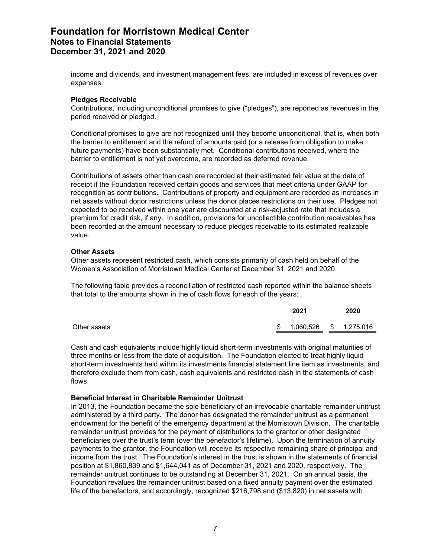income and dividends, and investment management fees, are included in excess of revenues over expenses.

#### **Pledges Receivable**

Contributions, including unconditional promises to give ("pledges"), are reported as revenues in the period received or pledged.

Conditional promises to give are not recognized until they become unconditional, that is, when both the barrier to entitlement and the refund of amounts paid (or a release from obligation to make future payments) have been substantially met. Conditional contributions received, where the barrier to entitlement is not yet overcome, are recorded as deferred revenue.

Contributions of assets other than cash are recorded at their estimated fair value at the date of receipt if the Foundation received certain goods and services that meet criteria under GAAP for recognition as contributions. Contributions of property and equipment are recorded as increases in net assets without donor restrictions unless the donor places restrictions on their use. Pledges not expected to be received within one year are discounted at a risk-adjusted rate that includes a premium for credit risk, if any. In addition, provisions for uncollectible contribution receivables has been recorded at the amount necessary to reduce pledges receivable to its estimated realizable value.

#### **Other Assets**

Other assets represent restricted cash, which consists primarily of cash held on behalf of the Women's Association of Morristown Medical Center at December 31, 2021 and 2020.

The following table provides a reconciliation of restricted cash reported within the balance sheets that total to the amounts shown in the of cash flows for each of the years:

|              | 2021                      | 2020 |
|--------------|---------------------------|------|
| Other assets | \$ 1,060,526 \$ 1,275,016 |      |

Cash and cash equivalents include highly liquid short-term investments with original maturities of three months or less from the date of acquisition. The Foundation elected to treat highly liquid short-term investments held within its investments financial statement line item as investments, and therefore exclude them from cash, cash equivalents and restricted cash in the statements of cash flows.

#### **Beneficial Interest in Charitable Remainder Unitrust**

In 2013, the Foundation became the sole beneficiary of an irrevocable charitable remainder unitrust administered by a third party. The donor has designated the remainder unitrust as a permanent endowment for the benefit of the emergency department at the Morristown Division. The charitable remainder unitrust provides for the payment of distributions to the grantor or other designated beneficiaries over the trust's term (over the benefactor's lifetime). Upon the termination of annuity payments to the grantor, the Foundation will receive its respective remaining share of principal and income from the trust. The Foundation's interest in the trust is shown in the statements of financial position at \$1,860,839 and \$1,644,041 as of December 31, 2021 and 2020, respectively. The remainder unitrust continues to be outstanding at December 31, 2021. On an annual basis, the Foundation revalues the remainder unitrust based on a fixed annuity payment over the estimated life of the benefactors, and accordingly, recognized \$216,798 and (\$13,820) in net assets with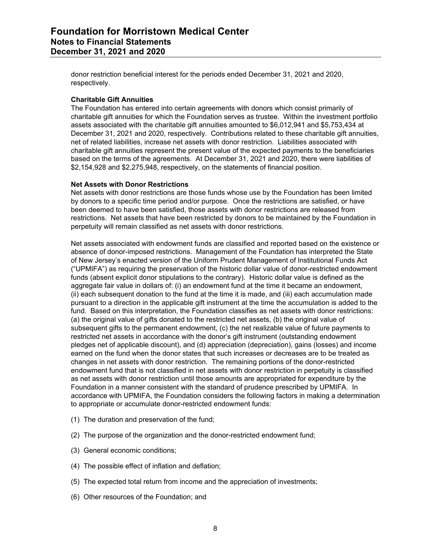donor restriction beneficial interest for the periods ended December 31, 2021 and 2020, respectively.

#### **Charitable Gift Annuities**

The Foundation has entered into certain agreements with donors which consist primarily of charitable gift annuities for which the Foundation serves as trustee. Within the investment portfolio assets associated with the charitable gift annuities amounted to \$6,012,941 and \$5,753,434 at December 31, 2021 and 2020, respectively. Contributions related to these charitable gift annuities, net of related liabilities, increase net assets with donor restriction. Liabilities associated with charitable gift annuities represent the present value of the expected payments to the beneficiaries based on the terms of the agreements. At December 31, 2021 and 2020, there were liabilities of \$2,154,928 and \$2,275,948, respectively, on the statements of financial position.

#### **Net Assets with Donor Restrictions**

Net assets with donor restrictions are those funds whose use by the Foundation has been limited by donors to a specific time period and/or purpose. Once the restrictions are satisfied, or have been deemed to have been satisfied, those assets with donor restrictions are released from restrictions. Net assets that have been restricted by donors to be maintained by the Foundation in perpetuity will remain classified as net assets with donor restrictions.

Net assets associated with endowment funds are classified and reported based on the existence or absence of donor-imposed restrictions. Management of the Foundation has interpreted the State of New Jersey's enacted version of the Uniform Prudent Management of Institutional Funds Act ("UPMIFA") as requiring the preservation of the historic dollar value of donor-restricted endowment funds (absent explicit donor stipulations to the contrary). Historic dollar value is defined as the aggregate fair value in dollars of: (i) an endowment fund at the time it became an endowment, (ii) each subsequent donation to the fund at the time it is made, and (iii) each accumulation made pursuant to a direction in the applicable gift instrument at the time the accumulation is added to the fund. Based on this interpretation, the Foundation classifies as net assets with donor restrictions: (a) the original value of gifts donated to the restricted net assets, (b) the original value of subsequent gifts to the permanent endowment, (c) the net realizable value of future payments to restricted net assets in accordance with the donor's gift instrument (outstanding endowment pledges net of applicable discount), and (d) appreciation (depreciation), gains (losses) and income earned on the fund when the donor states that such increases or decreases are to be treated as changes in net assets with donor restriction. The remaining portions of the donor-restricted endowment fund that is not classified in net assets with donor restriction in perpetuity is classified as net assets with donor restriction until those amounts are appropriated for expenditure by the Foundation in a manner consistent with the standard of prudence prescribed by UPMIFA. In accordance with UPMIFA, the Foundation considers the following factors in making a determination to appropriate or accumulate donor-restricted endowment funds:

- (1) The duration and preservation of the fund;
- (2) The purpose of the organization and the donor-restricted endowment fund;
- (3) General economic conditions;
- (4) The possible effect of inflation and deflation;
- (5) The expected total return from income and the appreciation of investments;
- (6) Other resources of the Foundation; and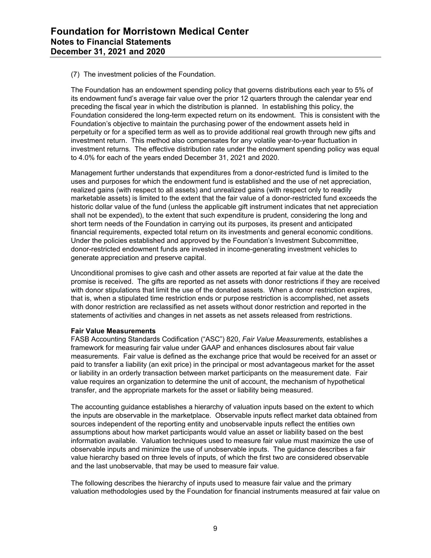(7) The investment policies of the Foundation.

The Foundation has an endowment spending policy that governs distributions each year to 5% of its endowment fund's average fair value over the prior 12 quarters through the calendar year end preceding the fiscal year in which the distribution is planned. In establishing this policy, the Foundation considered the long-term expected return on its endowment. This is consistent with the Foundation's objective to maintain the purchasing power of the endowment assets held in perpetuity or for a specified term as well as to provide additional real growth through new gifts and investment return. This method also compensates for any volatile year-to-year fluctuation in investment returns. The effective distribution rate under the endowment spending policy was equal to 4.0% for each of the years ended December 31, 2021 and 2020.

Management further understands that expenditures from a donor-restricted fund is limited to the uses and purposes for which the endowment fund is established and the use of net appreciation, realized gains (with respect to all assets) and unrealized gains (with respect only to readily marketable assets) is limited to the extent that the fair value of a donor-restricted fund exceeds the historic dollar value of the fund (unless the applicable gift instrument indicates that net appreciation shall not be expended), to the extent that such expenditure is prudent, considering the long and short term needs of the Foundation in carrying out its purposes, its present and anticipated financial requirements, expected total return on its investments and general economic conditions. Under the policies established and approved by the Foundation's Investment Subcommittee, donor-restricted endowment funds are invested in income-generating investment vehicles to generate appreciation and preserve capital.

Unconditional promises to give cash and other assets are reported at fair value at the date the promise is received. The gifts are reported as net assets with donor restrictions if they are received with donor stipulations that limit the use of the donated assets. When a donor restriction expires, that is, when a stipulated time restriction ends or purpose restriction is accomplished, net assets with donor restriction are reclassified as net assets without donor restriction and reported in the statements of activities and changes in net assets as net assets released from restrictions.

#### **Fair Value Measurements**

FASB Accounting Standards Codification ("ASC") 820, *Fair Value Measurements,* establishes a framework for measuring fair value under GAAP and enhances disclosures about fair value measurements. Fair value is defined as the exchange price that would be received for an asset or paid to transfer a liability (an exit price) in the principal or most advantageous market for the asset or liability in an orderly transaction between market participants on the measurement date. Fair value requires an organization to determine the unit of account, the mechanism of hypothetical transfer, and the appropriate markets for the asset or liability being measured.

The accounting guidance establishes a hierarchy of valuation inputs based on the extent to which the inputs are observable in the marketplace. Observable inputs reflect market data obtained from sources independent of the reporting entity and unobservable inputs reflect the entities own assumptions about how market participants would value an asset or liability based on the best information available. Valuation techniques used to measure fair value must maximize the use of observable inputs and minimize the use of unobservable inputs. The guidance describes a fair value hierarchy based on three levels of inputs, of which the first two are considered observable and the last unobservable, that may be used to measure fair value.

The following describes the hierarchy of inputs used to measure fair value and the primary valuation methodologies used by the Foundation for financial instruments measured at fair value on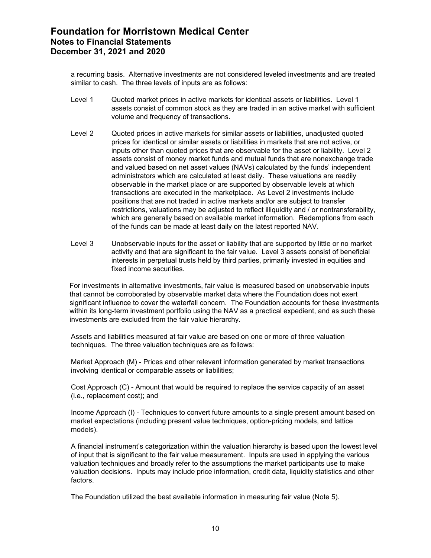a recurring basis. Alternative investments are not considered leveled investments and are treated similar to cash. The three levels of inputs are as follows:

- Level 1 Quoted market prices in active markets for identical assets or liabilities. Level 1 assets consist of common stock as they are traded in an active market with sufficient volume and frequency of transactions.
- Level 2 Guoted prices in active markets for similar assets or liabilities, unadjusted quoted prices for identical or similar assets or liabilities in markets that are not active, or inputs other than quoted prices that are observable for the asset or liability. Level 2 assets consist of money market funds and mutual funds that are nonexchange trade and valued based on net asset values (NAVs) calculated by the funds' independent administrators which are calculated at least daily. These valuations are readily observable in the market place or are supported by observable levels at which transactions are executed in the marketplace. As Level 2 investments include positions that are not traded in active markets and/or are subject to transfer restrictions, valuations may be adjusted to reflect illiquidity and / or nontransferability, which are generally based on available market information. Redemptions from each of the funds can be made at least daily on the latest reported NAV.
- Level 3 Unobservable inputs for the asset or liability that are supported by little or no market activity and that are significant to the fair value. Level 3 assets consist of beneficial interests in perpetual trusts held by third parties, primarily invested in equities and fixed income securities.

For investments in alternative investments, fair value is measured based on unobservable inputs that cannot be corroborated by observable market data where the Foundation does not exert significant influence to cover the waterfall concern. The Foundation accounts for these investments within its long-term investment portfolio using the NAV as a practical expedient, and as such these investments are excluded from the fair value hierarchy.

Assets and liabilities measured at fair value are based on one or more of three valuation techniques. The three valuation techniques are as follows:

Market Approach (M) - Prices and other relevant information generated by market transactions involving identical or comparable assets or liabilities;

Cost Approach (C) - Amount that would be required to replace the service capacity of an asset (i.e., replacement cost); and

Income Approach (I) - Techniques to convert future amounts to a single present amount based on market expectations (including present value techniques, option-pricing models, and lattice models).

A financial instrument's categorization within the valuation hierarchy is based upon the lowest level of input that is significant to the fair value measurement. Inputs are used in applying the various valuation techniques and broadly refer to the assumptions the market participants use to make valuation decisions. Inputs may include price information, credit data, liquidity statistics and other factors.

The Foundation utilized the best available information in measuring fair value (Note 5).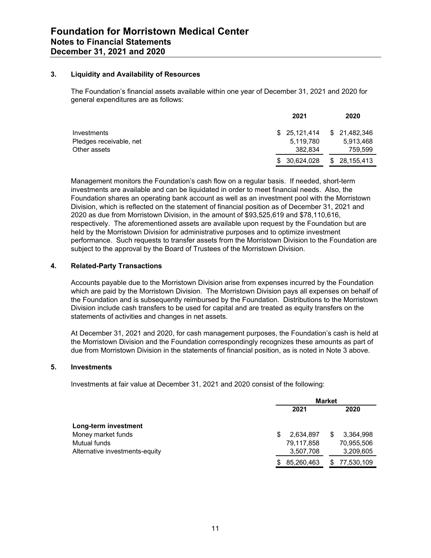#### **3. Liquidity and Availability of Resources**

The Foundation's financial assets available within one year of December 31, 2021 and 2020 for general expenditures are as follows:

|                         | 2021          | 2020                        |
|-------------------------|---------------|-----------------------------|
| Investments             |               | $$25,121,414$ $$21,482,346$ |
| Pledges receivable, net | 5.119.780     | 5.913.468                   |
| Other assets            | 382.834       | 759,599                     |
|                         | \$ 30.624.028 | \$ 28,155,413               |

Management monitors the Foundation's cash flow on a regular basis. If needed, short-term investments are available and can be liquidated in order to meet financial needs. Also, the Foundation shares an operating bank account as well as an investment pool with the Morristown Division, which is reflected on the statement of financial position as of December 31, 2021 and 2020 as due from Morristown Division, in the amount of \$93,525,619 and \$78,110,616, respectively. The aforementioned assets are available upon request by the Foundation but are held by the Morristown Division for administrative purposes and to optimize investment performance. Such requests to transfer assets from the Morristown Division to the Foundation are subject to the approval by the Board of Trustees of the Morristown Division.

#### **4. Related-Party Transactions**

Accounts payable due to the Morristown Division arise from expenses incurred by the Foundation which are paid by the Morristown Division. The Morristown Division pays all expenses on behalf of the Foundation and is subsequently reimbursed by the Foundation. Distributions to the Morristown Division include cash transfers to be used for capital and are treated as equity transfers on the statements of activities and changes in net assets.

At December 31, 2021 and 2020, for cash management purposes, the Foundation's cash is held at the Morristown Division and the Foundation correspondingly recognizes these amounts as part of due from Morristown Division in the statements of financial position, as is noted in Note 3 above.

#### **5. Investments**

Investments at fair value at December 31, 2021 and 2020 consist of the following:

|                                | <b>Market</b> |            |   |            |  |
|--------------------------------|---------------|------------|---|------------|--|
|                                |               | 2021       |   |            |  |
| Long-term investment           |               |            |   |            |  |
| Money market funds             | S             | 2,634,897  | S | 3,364,998  |  |
| Mutual funds                   |               | 79,117,858 |   | 70,955,506 |  |
| Alternative investments-equity |               | 3,507,708  |   | 3,209,605  |  |
|                                | S             | 85,260,463 |   | 77,530,109 |  |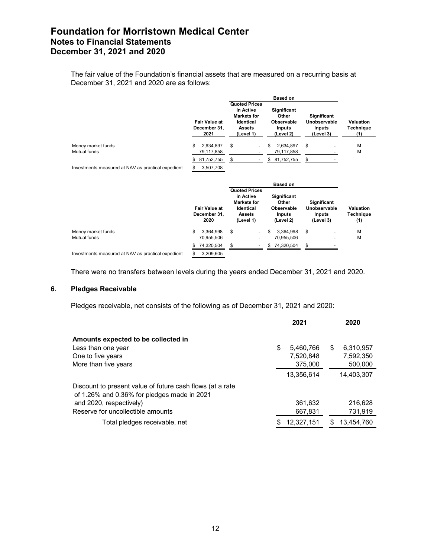## **Foundation for Morristown Medical Center Notes to Financial Statements December 31, 2021 and 2020**

The fair value of the Foundation's financial assets that are measured on a recurring basis at December 31, 2021 and 2020 are as follows:

|                                                    |                                              |                                                                                                    | <b>Based on</b>                                                  |                                                    |                                      |
|----------------------------------------------------|----------------------------------------------|----------------------------------------------------------------------------------------------------|------------------------------------------------------------------|----------------------------------------------------|--------------------------------------|
|                                                    | <b>Fair Value at</b><br>December 31.<br>2021 | <b>Quoted Prices</b><br>in Active<br><b>Markets for</b><br>Identical<br><b>Assets</b><br>(Level 1) | <b>Significant</b><br>Other<br>Observable<br>Inputs<br>(Level 2) | Significant<br>Unobservable<br>Inputs<br>(Level 3) | Valuation<br><b>Technique</b><br>(1) |
| Money market funds<br>Mutual funds                 | \$<br>2,634,897<br>79,117,858                | \$<br>$\overline{\phantom{a}}$                                                                     | 2,634,897<br>\$<br>79,117,858                                    | \$                                                 | м<br>M                               |
|                                                    | 81,752,755                                   | \$<br>$\overline{\phantom{a}}$                                                                     | 81,752,755<br>\$                                                 | \$                                                 |                                      |
| Investments measured at NAV as practical expedient | 3,507,708                                    |                                                                                                    |                                                                  |                                                    |                                      |
|                                                    |                                              |                                                                                                    |                                                                  |                                                    |                                      |
|                                                    |                                              |                                                                                                    | <b>Based on</b>                                                  |                                                    |                                      |
|                                                    | <b>Fair Value at</b><br>December 31.<br>2020 | <b>Quoted Prices</b><br>in Active<br><b>Markets for</b><br>Identical<br><b>Assets</b><br>(Level 1) | <b>Significant</b><br>Other<br>Observable<br>Inputs<br>(Level 2) | Significant<br>Unobservable<br>Inputs<br>(Level 3) | Valuation<br><b>Technique</b><br>(1) |
| Money market funds<br>Mutual funds                 | \$.<br>3,364,998<br>70,955,506               | \$<br>$\overline{\phantom{0}}$                                                                     | 3,364,998<br>70,955,506                                          | \$                                                 | M<br>M                               |
|                                                    | 74,320,504                                   | \$<br>$\overline{\phantom{a}}$                                                                     | \$74,320,504                                                     | \$                                                 |                                      |

There were no transfers between levels during the years ended December 31, 2021 and 2020.

#### **6. Pledges Receivable**

Pledges receivable, net consists of the following as of December 31, 2021 and 2020:

|                                                                                                          |    | 2021       |    | 2020       |
|----------------------------------------------------------------------------------------------------------|----|------------|----|------------|
| Amounts expected to be collected in                                                                      |    |            |    |            |
| Less than one year                                                                                       | \$ | 5,460,766  | \$ | 6,310,957  |
| One to five years                                                                                        |    | 7,520,848  |    | 7,592,350  |
| More than five years                                                                                     |    | 375,000    |    | 500,000    |
|                                                                                                          |    | 13,356,614 |    | 14,403,307 |
| Discount to present value of future cash flows (at a rate<br>of 1.26% and 0.36% for pledges made in 2021 |    |            |    |            |
| and 2020, respectively)                                                                                  |    | 361,632    |    | 216,628    |
| Reserve for uncollectible amounts                                                                        |    | 667,831    |    | 731,919    |
| Total pledges receivable, net                                                                            | S  | 12,327,151 | S  | 13,454,760 |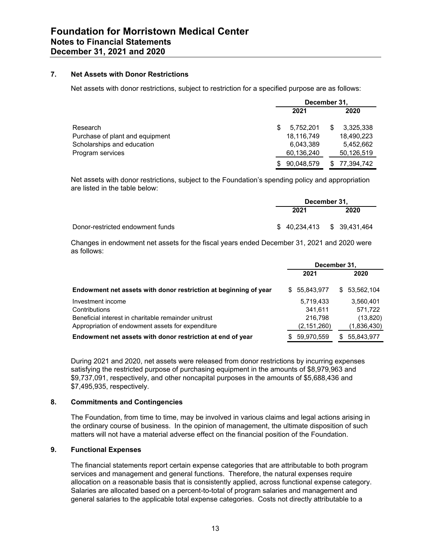#### **7. Net Assets with Donor Restrictions**

Net assets with donor restrictions, subject to restriction for a specified purpose are as follows:

|                                 | December 31. |            |   |            |
|---------------------------------|--------------|------------|---|------------|
|                                 |              | 2021       |   | 2020       |
| Research                        | \$.          | 5.752.201  | S | 3,325,338  |
| Purchase of plant and equipment |              | 18,116,749 |   | 18,490,223 |
| Scholarships and education      |              | 6,043,389  |   | 5.452.662  |
| Program services                |              | 60,136,240 |   | 50,126,519 |
|                                 | S            | 90,048,579 |   | 77,394,742 |

Net assets with donor restrictions, subject to the Foundation's spending policy and appropriation are listed in the table below:

|                                  | December 31, |                             |  |      |
|----------------------------------|--------------|-----------------------------|--|------|
|                                  |              | 2021                        |  | 2020 |
| Donor-restricted endowment funds |              | \$ 40,234,413 \$ 39,431,464 |  |      |

Changes in endowment net assets for the fiscal years ended December 31, 2021 and 2020 were as follows:

|                                                                  | December 31, |               |     |             |
|------------------------------------------------------------------|--------------|---------------|-----|-------------|
|                                                                  |              | 2021          |     | 2020        |
| Endowment net assets with donor restriction at beginning of year |              | \$ 55,843,977 | \$. | 53,562,104  |
| Investment income                                                |              | 5,719,433     |     | 3,560,401   |
| Contributions                                                    |              | 341.611       |     | 571,722     |
| Beneficial interest in charitable remainder unitrust             |              | 216,798       |     | (13, 820)   |
| Appropriation of endowment assets for expenditure                |              | (2,151,260)   |     | (1,836,430) |
| Endowment net assets with donor restriction at end of year       | S.           | 59,970,559    | \$  | 55,843,977  |

During 2021 and 2020, net assets were released from donor restrictions by incurring expenses satisfying the restricted purpose of purchasing equipment in the amounts of \$8,979,963 and \$9,737,091, respectively, and other noncapital purposes in the amounts of \$5,688,436 and \$7,495,935, respectively.

#### **8. Commitments and Contingencies**

The Foundation, from time to time, may be involved in various claims and legal actions arising in the ordinary course of business. In the opinion of management, the ultimate disposition of such matters will not have a material adverse effect on the financial position of the Foundation.

#### **9. Functional Expenses**

The financial statements report certain expense categories that are attributable to both program services and management and general functions. Therefore, the natural expenses require allocation on a reasonable basis that is consistently applied, across functional expense category. Salaries are allocated based on a percent-to-total of program salaries and management and general salaries to the applicable total expense categories. Costs not directly attributable to a